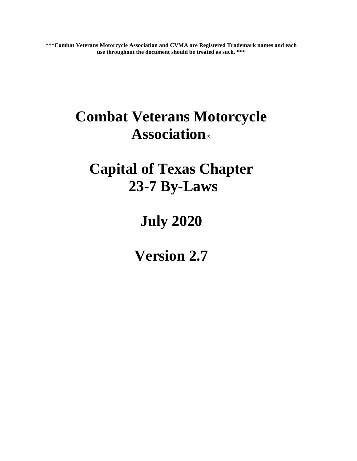**\*\*\*Combat Veterans Motorcycle Association and CVMA are Registered Trademark names and each use throughout the document should be treated as such. \*\*\***

# **Combat Veterans Motorcycle Association**®

# **Capital of Texas Chapter 23-7 By-Laws**

# **July 2020**

**Version 2.7**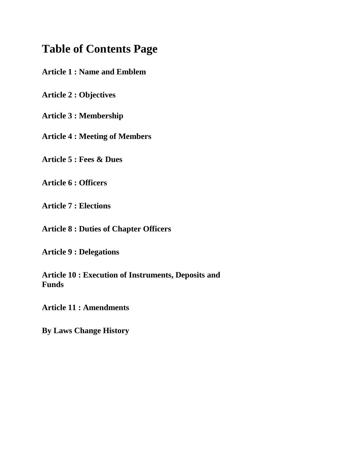# **Table of Contents Page**

**Article 1 : Name and Emblem**

**Article 2 : Objectives**

**Article 3 : Membership**

**Article 4 : Meeting of Members**

**Article 5 : Fees & Dues**

**Article 6 : Officers**

**Article 7 : Elections**

**Article 8 : Duties of Chapter Officers**

**Article 9 : Delegations**

**Article 10 : Execution of Instruments, Deposits and Funds**

**Article 11 : Amendments**

**By Laws Change History**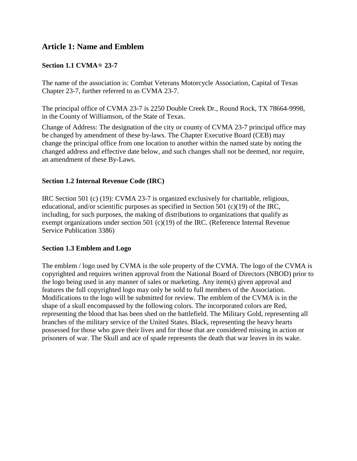# **Article 1: Name and Emblem**

# **Section 1.1 CVMA**® **23-7**

The name of the association is: Combat Veterans Motorcycle Association, Capital of Texas Chapter 23-7, further referred to as CVMA 23-7.

The principal office of CVMA 23-7 is 2250 Double Creek Dr., Round Rock, TX 78664-9998, in the County of Williamson, of the State of Texas.

Change of Address: The designation of the city or county of CVMA 23-7 principal office may be changed by amendment of these by-laws. The Chapter Executive Board (CEB) may change the principal office from one location to another within the named state by noting the changed address and effective date below, and such changes shall not be deemed, nor require, an amendment of these By-Laws.

### **Section 1.2 Internal Revenue Code (IRC)**

IRC Section 501 (c) (19): CVMA 23-7 is organized exclusively for charitable, religious, educational, and/or scientific purposes as specified in Section 501 (c)(19) of the IRC, including, for such purposes, the making of distributions to organizations that qualify as exempt organizations under section 501 (c)(19) of the IRC. (Reference Internal Revenue Service Publication 3386)

#### **Section 1.3 Emblem and Logo**

The emblem / logo used by CVMA is the sole property of the CVMA. The logo of the CVMA is copyrighted and requires written approval from the National Board of Directors (NBOD) prior to the logo being used in any manner of sales or marketing. Any item(s) given approval and features the full copyrighted logo may only be sold to full members of the Association. Modifications to the logo will be submitted for review. The emblem of the CVMA is in the shape of a skull encompassed by the following colors. The incorporated colors are Red, representing the blood that has been shed on the battlefield. The Military Gold, representing all branches of the military service of the United States. Black, representing the heavy hearts possessed for those who gave their lives and for those that are considered missing in action or prisoners of war. The Skull and ace of spade represents the death that war leaves in its wake.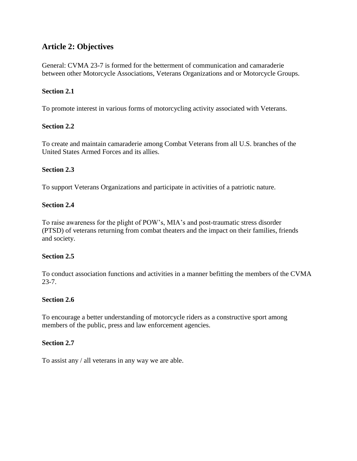# **Article 2: Objectives**

General: CVMA 23-7 is formed for the betterment of communication and camaraderie between other Motorcycle Associations, Veterans Organizations and or Motorcycle Groups.

# **Section 2.1**

To promote interest in various forms of motorcycling activity associated with Veterans.

# **Section 2.2**

To create and maintain camaraderie among Combat Veterans from all U.S. branches of the United States Armed Forces and its allies.

# **Section 2.3**

To support Veterans Organizations and participate in activities of a patriotic nature.

# **Section 2.4**

To raise awareness for the plight of POW's, MIA's and post-traumatic stress disorder (PTSD) of veterans returning from combat theaters and the impact on their families, friends and society.

# **Section 2.5**

To conduct association functions and activities in a manner befitting the members of the CVMA 23-7.

#### **Section 2.6**

To encourage a better understanding of motorcycle riders as a constructive sport among members of the public, press and law enforcement agencies.

# **Section 2.7**

To assist any / all veterans in any way we are able.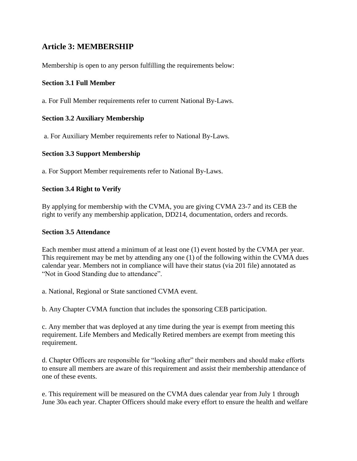# **Article 3: MEMBERSHIP**

Membership is open to any person fulfilling the requirements below:

## **Section 3.1 Full Member**

a. For Full Member requirements refer to current National By-Laws.

## **Section 3.2 Auxiliary Membership**

a. For Auxiliary Member requirements refer to National By-Laws.

### **Section 3.3 Support Membership**

a. For Support Member requirements refer to National By-Laws.

### **Section 3.4 Right to Verify**

By applying for membership with the CVMA, you are giving CVMA 23-7 and its CEB the right to verify any membership application, DD214, documentation, orders and records.

#### **Section 3.5 Attendance**

Each member must attend a minimum of at least one (1) event hosted by the CVMA per year. This requirement may be met by attending any one (1) of the following within the CVMA dues calendar year. Members not in compliance will have their status (via 201 file) annotated as "Not in Good Standing due to attendance".

a. National, Regional or State sanctioned CVMA event.

b. Any Chapter CVMA function that includes the sponsoring CEB participation.

c. Any member that was deployed at any time during the year is exempt from meeting this requirement. Life Members and Medically Retired members are exempt from meeting this requirement.

d. Chapter Officers are responsible for "looking after" their members and should make efforts to ensure all members are aware of this requirement and assist their membership attendance of one of these events.

e. This requirement will be measured on the CVMA dues calendar year from July 1 through June 30th each year. Chapter Officers should make every effort to ensure the health and welfare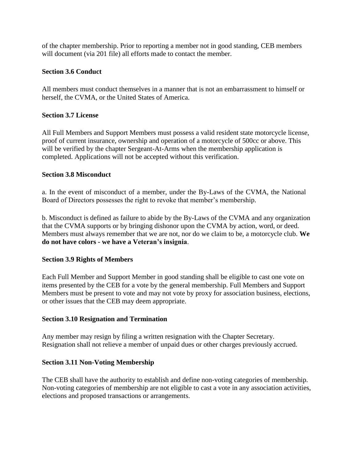of the chapter membership. Prior to reporting a member not in good standing, CEB members will document (via 201 file) all efforts made to contact the member.

## **Section 3.6 Conduct**

All members must conduct themselves in a manner that is not an embarrassment to himself or herself, the CVMA, or the United States of America.

### **Section 3.7 License**

All Full Members and Support Members must possess a valid resident state motorcycle license, proof of current insurance, ownership and operation of a motorcycle of 500cc or above. This will be verified by the chapter Sergeant-At-Arms when the membership application is completed. Applications will not be accepted without this verification.

### **Section 3.8 Misconduct**

a. In the event of misconduct of a member, under the By-Laws of the CVMA, the National Board of Directors possesses the right to revoke that member's membership.

b. Misconduct is defined as failure to abide by the By-Laws of the CVMA and any organization that the CVMA supports or by bringing dishonor upon the CVMA by action, word, or deed. Members must always remember that we are not, nor do we claim to be, a motorcycle club. **We do not have colors - we have a Veteran's insignia**.

# **Section 3.9 Rights of Members**

Each Full Member and Support Member in good standing shall be eligible to cast one vote on items presented by the CEB for a vote by the general membership. Full Members and Support Members must be present to vote and may not vote by proxy for association business, elections, or other issues that the CEB may deem appropriate.

# **Section 3.10 Resignation and Termination**

Any member may resign by filing a written resignation with the Chapter Secretary. Resignation shall not relieve a member of unpaid dues or other charges previously accrued.

# **Section 3.11 Non-Voting Membership**

The CEB shall have the authority to establish and define non-voting categories of membership. Non-voting categories of membership are not eligible to cast a vote in any association activities, elections and proposed transactions or arrangements.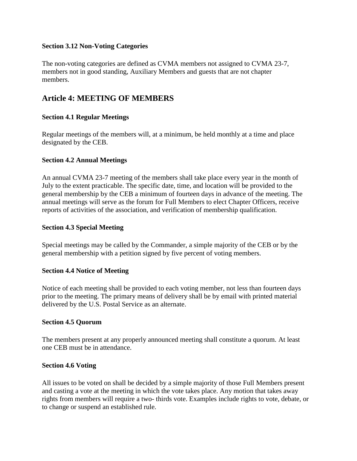#### **Section 3.12 Non-Voting Categories**

The non-voting categories are defined as CVMA members not assigned to CVMA 23-7, members not in good standing, Auxiliary Members and guests that are not chapter members.

# **Article 4: MEETING OF MEMBERS**

### **Section 4.1 Regular Meetings**

Regular meetings of the members will, at a minimum, be held monthly at a time and place designated by the CEB.

### **Section 4.2 Annual Meetings**

An annual CVMA 23-7 meeting of the members shall take place every year in the month of July to the extent practicable. The specific date, time, and location will be provided to the general membership by the CEB a minimum of fourteen days in advance of the meeting. The annual meetings will serve as the forum for Full Members to elect Chapter Officers, receive reports of activities of the association, and verification of membership qualification.

### **Section 4.3 Special Meeting**

Special meetings may be called by the Commander, a simple majority of the CEB or by the general membership with a petition signed by five percent of voting members.

#### **Section 4.4 Notice of Meeting**

Notice of each meeting shall be provided to each voting member, not less than fourteen days prior to the meeting. The primary means of delivery shall be by email with printed material delivered by the U.S. Postal Service as an alternate.

#### **Section 4.5 Quorum**

The members present at any properly announced meeting shall constitute a quorum. At least one CEB must be in attendance.

#### **Section 4.6 Voting**

All issues to be voted on shall be decided by a simple majority of those Full Members present and casting a vote at the meeting in which the vote takes place. Any motion that takes away rights from members will require a two- thirds vote. Examples include rights to vote, debate, or to change or suspend an established rule.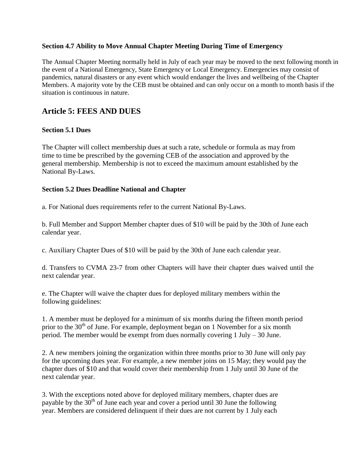#### **Section 4.7 Ability to Move Annual Chapter Meeting During Time of Emergency**

The Annual Chapter Meeting normally held in July of each year may be moved to the next following month in the event of a National Emergency, State Emergency or Local Emergency. Emergencies may consist of pandemics, natural disasters or any event which would endanger the lives and wellbeing of the Chapter Members. A majority vote by the CEB must be obtained and can only occur on a month to month basis if the situation is continuous in nature.

# **Article 5: FEES AND DUES**

# **Section 5.1 Dues**

The Chapter will collect membership dues at such a rate, schedule or formula as may from time to time be prescribed by the governing CEB of the association and approved by the general membership. Membership is not to exceed the maximum amount established by the National By-Laws.

### **Section 5.2 Dues Deadline National and Chapter**

a. For National dues requirements refer to the current National By-Laws.

b. Full Member and Support Member chapter dues of \$10 will be paid by the 30th of June each calendar year.

c. Auxiliary Chapter Dues of \$10 will be paid by the 30th of June each calendar year.

d. Transfers to CVMA 23-7 from other Chapters will have their chapter dues waived until the next calendar year.

e. The Chapter will waive the chapter dues for deployed military members within the following guidelines:

1. A member must be deployed for a minimum of six months during the fifteen month period prior to the  $30<sup>th</sup>$  of June. For example, deployment began on 1 November for a six month period. The member would be exempt from dues normally covering 1 July – 30 June.

2. A new members joining the organization within three months prior to 30 June will only pay for the upcoming dues year. For example, a new member joins on 15 May; they would pay the chapter dues of \$10 and that would cover their membership from 1 July until 30 June of the next calendar year.

3. With the exceptions noted above for deployed military members, chapter dues are payable by the  $30<sup>th</sup>$  of June each year and cover a period until 30 June the following year. Members are considered delinquent if their dues are not current by 1 July each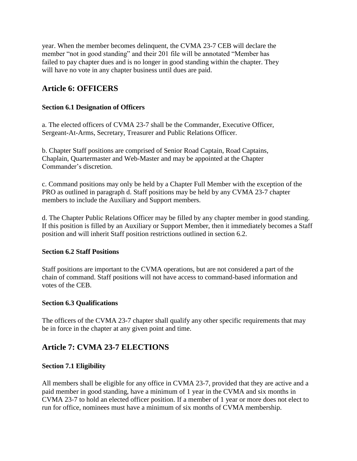year. When the member becomes delinquent, the CVMA 23-7 CEB will declare the member "not in good standing" and their 201 file will be annotated "Member has failed to pay chapter dues and is no longer in good standing within the chapter. They will have no vote in any chapter business until dues are paid.

# **Article 6: OFFICERS**

# **Section 6.1 Designation of Officers**

a. The elected officers of CVMA 23-7 shall be the Commander, Executive Officer, Sergeant-At-Arms, Secretary, Treasurer and Public Relations Officer.

b. Chapter Staff positions are comprised of Senior Road Captain, Road Captains, Chaplain, Quartermaster and Web-Master and may be appointed at the Chapter Commander's discretion.

c. Command positions may only be held by a Chapter Full Member with the exception of the PRO as outlined in paragraph d. Staff positions may be held by any CVMA 23-7 chapter members to include the Auxiliary and Support members.

d. The Chapter Public Relations Officer may be filled by any chapter member in good standing. If this position is filled by an Auxiliary or Support Member, then it immediately becomes a Staff position and will inherit Staff position restrictions outlined in section 6.2.

# **Section 6.2 Staff Positions**

Staff positions are important to the CVMA operations, but are not considered a part of the chain of command. Staff positions will not have access to command-based information and votes of the CEB.

# **Section 6.3 Qualifications**

The officers of the CVMA 23-7 chapter shall qualify any other specific requirements that may be in force in the chapter at any given point and time.

# **Article 7: CVMA 23-7 ELECTIONS**

# **Section 7.1 Eligibility**

All members shall be eligible for any office in CVMA 23-7, provided that they are active and a paid member in good standing, have a minimum of 1 year in the CVMA and six months in CVMA 23-7 to hold an elected officer position. If a member of 1 year or more does not elect to run for office, nominees must have a minimum of six months of CVMA membership.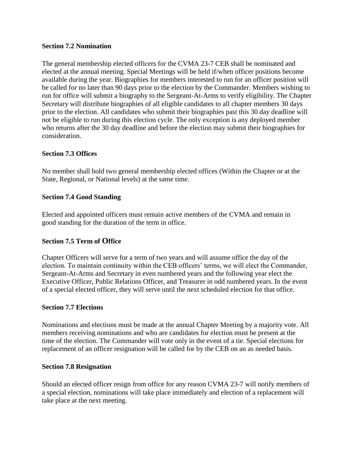#### **Section 7.2 Nomination**

The general membership elected officers for the CVMA 23-7 CEB shall be nominated and elected at the annual meeting. Special Meetings will be held if/when officer positions become available during the year. Biographies for members interested to run for an officer position will be called for no later than 90 days prior to the election by the Commander. Members wishing to run for office will submit a biography to the Sergeant-At-Arms to verify eligibility. The Chapter Secretary will distribute biographies of all eligible candidates to all chapter members 30 days prior to the election. All candidates who submit their biographies past this 30 day deadline will not be eligible to run during this election cycle. The only exception is any deployed member who returns after the 30 day deadline and before the election may submit their biographies for consideration.

# **Section 7.3 Offices**

No member shall hold two general membership elected offices (Within the Chapter or at the State, Regional, or National levels) at the same time.

# **Section 7.4 Good Standing**

Elected and appointed officers must remain active members of the CVMA and remain in good standing for the duration of the term in office.

# **Section 7.5 Term of Office**

Chapter Officers will serve for a term of two years and will assume office the day of the election. To maintain continuity within the CEB officers' terms, we will elect the Commander, Sergeant-At-Arms and Secretary in even numbered years and the following year elect the Executive Officer, Public Relations Officer, and Treasurer in odd numbered years. In the event of a special elected officer, they will serve until the next scheduled election for that office.

# **Section 7.7 Elections**

Nominations and elections must be made at the annual Chapter Meeting by a majority vote. All members receiving nominations and who are candidates for election must be present at the time of the election. The Commander will vote only in the event of a tie. Special elections for replacement of an officer resignation will be called for by the CEB on an as needed basis.

# **Section 7.8 Resignation**

Should an elected officer resign from office for any reason CVMA 23-7 will notify members of a special election, nominations will take place immediately and election of a replacement will take place at the next meeting.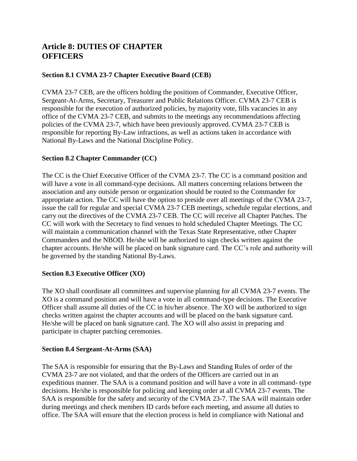# **Article 8: DUTIES OF CHAPTER OFFICERS**

# **Section 8.1 CVMA 23-7 Chapter Executive Board (CEB)**

CVMA 23-7 CEB, are the officers holding the positions of Commander, Executive Officer, Sergeant-At-Arms, Secretary, Treasurer and Public Relations Officer. CVMA 23-7 CEB is responsible for the execution of authorized policies, by majority vote, fills vacancies in any office of the CVMA 23-7 CEB, and submits to the meetings any recommendations affecting policies of the CVMA 23-7, which have been previously approved. CVMA 23-7 CEB is responsible for reporting By-Law infractions, as well as actions taken in accordance with National By-Laws and the National Discipline Policy.

# **Section 8.2 Chapter Commander (CC)**

The CC is the Chief Executive Officer of the CVMA 23-7. The CC is a command position and will have a vote in all command-type decisions. All matters concerning relations between the association and any outside person or organization should be routed to the Commander for appropriate action. The CC will have the option to preside over all meetings of the CVMA 23-7, issue the call for regular and special CVMA 23-7 CEB meetings, schedule regular elections, and carry out the directives of the CVMA 23-7 CEB. The CC will receive all Chapter Patches. The CC will work with the Secretary to find venues to hold scheduled Chapter Meetings. The CC will maintain a communication channel with the Texas State Representative, other Chapter Commanders and the NBOD. He/she will be authorized to sign checks written against the chapter accounts. He/she will be placed on bank signature card. The CC's role and authority will be governed by the standing National By-Laws.

# **Section 8.3 Executive Officer (XO)**

The XO shall coordinate all committees and supervise planning for all CVMA 23-7 events. The XO is a command position and will have a vote in all command-type decisions. The Executive Officer shall assume all duties of the CC in his/her absence. The XO will be authorized to sign checks written against the chapter accounts and will be placed on the bank signature card. He/she will be placed on bank signature card. The XO will also assist in preparing and participate in chapter patching ceremonies.

# **Section 8.4 Sergeant-At-Arms (SAA)**

The SAA is responsible for ensuring that the By-Laws and Standing Rules of order of the CVMA 23-7 are not violated, and that the orders of the Officers are carried out in an expeditious manner. The SAA is a command position and will have a vote in all command- type decisions. He/she is responsible for policing and keeping order at all CVMA 23-7 events. The SAA is responsible for the safety and security of the CVMA 23-7. The SAA will maintain order during meetings and check members ID cards before each meeting, and assume all duties to office. The SAA will ensure that the election process is held in compliance with National and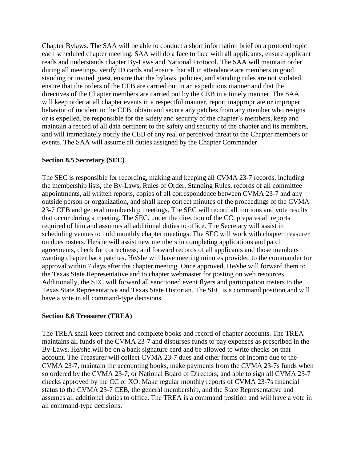Chapter Bylaws. The SAA will be able to conduct a short information brief on a protocol topic each scheduled chapter meeting. SAA will do a face to face with all applicants, ensure applicant reads and understands chapter By-Laws and National Protocol. The SAA will maintain order during all meetings, verify ID cards and ensure that all in attendance are members in good standing or invited guest, ensure that the bylaws, policies, and standing rules are not violated, ensure that the orders of the CEB are carried out in an expeditious manner and that the directives of the Chapter members are carried out by the CEB in a timely manner. The SAA will keep order at all chapter events in a respectful manner, report inappropriate or improper behavior of incident to the CEB, obtain and secure any patches from any member who resigns or is expelled, be responsible for the safety and security of the chapter's members, keep and maintain a record of all data pertinent to the safety and security of the chapter and its members, and will immediately notify the CEB of any real or perceived threat to the Chapter members or events. The SAA will assume all duties assigned by the Chapter Commander.

# **Section 8.5 Secretary (SEC)**

The SEC is responsible for recording, making and keeping all CVMA 23-7 records, including the membership lists, the By-Laws, Rules of Order, Standing Rules, records of all committee appointments, all written reports, copies of all correspondence between CVMA 23-7 and any outside person or organization, and shall keep correct minutes of the proceedings of the CVMA 23-7 CEB and general membership meetings. The SEC will record all motions and vote results that occur during a meeting. The SEC, under the direction of the CC, prepares all reports required of him and assumes all additional duties to office. The Secretary will assist in scheduling venues to hold monthly chapter meetings. The SEC will work with chapter treasurer on dues rosters. He/she will assist new members in completing applications and patch agreements, check for correctness, and forward records of all applicants and those members wanting chapter back patches. He/she will have meeting minutes provided to the commander for approval within 7 days after the chapter meeting. Once approved, He/she will forward them to the Texas State Representative and to chapter webmaster for posting on web resources. Additionally, the SEC will forward all sanctioned event flyers and participation rosters to the Texas State Representative and Texas State Historian. The SEC is a command position and will have a vote in all command-type decisions.

# **Section 8.6 Treasurer (TREA)**

The TREA shall keep correct and complete books and record of chapter accounts. The TREA maintains all funds of the CVMA 23-7 and disburses funds to pay expenses as prescribed in the By-Laws. He/she will be on a bank signature card and be allowed to write checks on that account. The Treasurer will collect CVMA 23-7 dues and other forms of income due to the CVMA 23-7, maintain the accounting books, make payments from the CVMA 23-7s funds when so ordered by the CVMA 23-7, or National Board of Directors, and able to sign all CVMA 23-7 checks approved by the CC or XO. Make regular monthly reports of CVMA 23-7s financial status to the CVMA 23-7 CEB, the general membership, and the State Representative and assumes all additional duties to office. The TREA is a command position and will have a vote in all command-type decisions.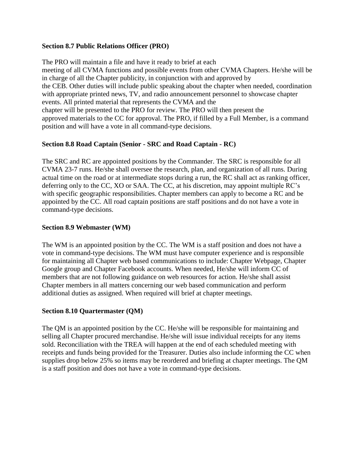# **Section 8.7 Public Relations Officer (PRO)**

The PRO will maintain a file and have it ready to brief at each meeting of all CVMA functions and possible events from other CVMA Chapters. He/she will be in charge of all the Chapter publicity, in conjunction with and approved by the CEB. Other duties will include public speaking about the chapter when needed, coordination with appropriate printed news, TV, and radio announcement personnel to showcase chapter events. All printed material that represents the CVMA and the chapter will be presented to the PRO for review. The PRO will then present the approved materials to the CC for approval. The PRO, if filled by a Full Member, is a command position and will have a vote in all command-type decisions.

# **Section 8.8 Road Captain (Senior - SRC and Road Captain - RC)**

The SRC and RC are appointed positions by the Commander. The SRC is responsible for all CVMA 23-7 runs. He/she shall oversee the research, plan, and organization of all runs. During actual time on the road or at intermediate stops during a run, the RC shall act as ranking officer, deferring only to the CC, XO or SAA. The CC, at his discretion, may appoint multiple RC's with specific geographic responsibilities. Chapter members can apply to become a RC and be appointed by the CC. All road captain positions are staff positions and do not have a vote in command-type decisions.

# **Section 8.9 Webmaster (WM)**

The WM is an appointed position by the CC. The WM is a staff position and does not have a vote in command-type decisions. The WM must have computer experience and is responsible for maintaining all Chapter web based communications to include: Chapter Webpage, Chapter Google group and Chapter Facebook accounts. When needed, He/she will inform CC of members that are not following guidance on web resources for action. He/she shall assist Chapter members in all matters concerning our web based communication and perform additional duties as assigned. When required will brief at chapter meetings.

# **Section 8.10 Quartermaster (QM)**

The QM is an appointed position by the CC. He/she will be responsible for maintaining and selling all Chapter procured merchandise. He/she will issue individual receipts for any items sold. Reconciliation with the TREA will happen at the end of each scheduled meeting with receipts and funds being provided for the Treasurer. Duties also include informing the CC when supplies drop below 25% so items may be reordered and briefing at chapter meetings. The QM is a staff position and does not have a vote in command-type decisions.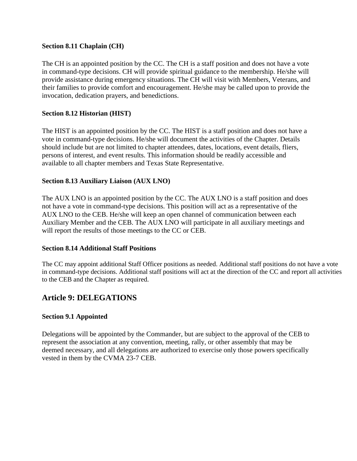## **Section 8.11 Chaplain (CH)**

The CH is an appointed position by the CC. The CH is a staff position and does not have a vote in command-type decisions. CH will provide spiritual guidance to the membership. He/she will provide assistance during emergency situations. The CH will visit with Members, Veterans, and their families to provide comfort and encouragement. He/she may be called upon to provide the invocation, dedication prayers, and benedictions.

## **Section 8.12 Historian (HIST)**

The HIST is an appointed position by the CC. The HIST is a staff position and does not have a vote in command-type decisions. He/she will document the activities of the Chapter. Details should include but are not limited to chapter attendees, dates, locations, event details, fliers, persons of interest, and event results. This information should be readily accessible and available to all chapter members and Texas State Representative.

### **Section 8.13 Auxiliary Liaison (AUX LNO)**

The AUX LNO is an appointed position by the CC. The AUX LNO is a staff position and does not have a vote in command-type decisions. This position will act as a representative of the AUX LNO to the CEB. He/she will keep an open channel of communication between each Auxiliary Member and the CEB. The AUX LNO will participate in all auxiliary meetings and will report the results of those meetings to the CC or CEB.

#### **Section 8.14 Additional Staff Positions**

The CC may appoint additional Staff Officer positions as needed. Additional staff positions do not have a vote in command-type decisions. Additional staff positions will act at the direction of the CC and report all activities to the CEB and the Chapter as required.

# **Article 9: DELEGATIONS**

#### **Section 9.1 Appointed**

Delegations will be appointed by the Commander, but are subject to the approval of the CEB to represent the association at any convention, meeting, rally, or other assembly that may be deemed necessary, and all delegations are authorized to exercise only those powers specifically vested in them by the CVMA 23-7 CEB.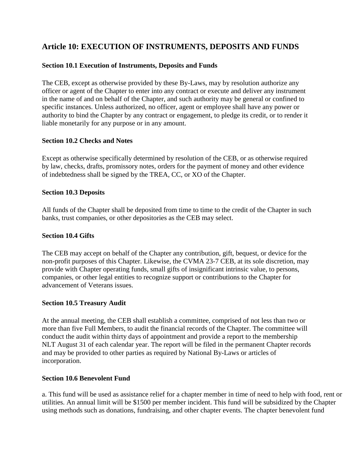# **Article 10: EXECUTION OF INSTRUMENTS, DEPOSITS AND FUNDS**

# **Section 10.1 Execution of Instruments, Deposits and Funds**

The CEB, except as otherwise provided by these By-Laws, may by resolution authorize any officer or agent of the Chapter to enter into any contract or execute and deliver any instrument in the name of and on behalf of the Chapter, and such authority may be general or confined to specific instances. Unless authorized, no officer, agent or employee shall have any power or authority to bind the Chapter by any contract or engagement, to pledge its credit, or to render it liable monetarily for any purpose or in any amount.

# **Section 10.2 Checks and Notes**

Except as otherwise specifically determined by resolution of the CEB, or as otherwise required by law, checks, drafts, promissory notes, orders for the payment of money and other evidence of indebtedness shall be signed by the TREA, CC, or XO of the Chapter.

### **Section 10.3 Deposits**

All funds of the Chapter shall be deposited from time to time to the credit of the Chapter in such banks, trust companies, or other depositories as the CEB may select.

#### **Section 10.4 Gifts**

The CEB may accept on behalf of the Chapter any contribution, gift, bequest, or device for the non-profit purposes of this Chapter. Likewise, the CVMA 23-7 CEB, at its sole discretion, may provide with Chapter operating funds, small gifts of insignificant intrinsic value, to persons, companies, or other legal entities to recognize support or contributions to the Chapter for advancement of Veterans issues.

#### **Section 10.5 Treasury Audit**

At the annual meeting, the CEB shall establish a committee, comprised of not less than two or more than five Full Members, to audit the financial records of the Chapter. The committee will conduct the audit within thirty days of appointment and provide a report to the membership NLT August 31 of each calendar year. The report will be filed in the permanent Chapter records and may be provided to other parties as required by National By-Laws or articles of incorporation.

#### **Section 10.6 Benevolent Fund**

a. This fund will be used as assistance relief for a chapter member in time of need to help with food, rent or utilities. An annual limit will be \$1500 per member incident. This fund will be subsidized by the Chapter using methods such as donations, fundraising, and other chapter events. The chapter benevolent fund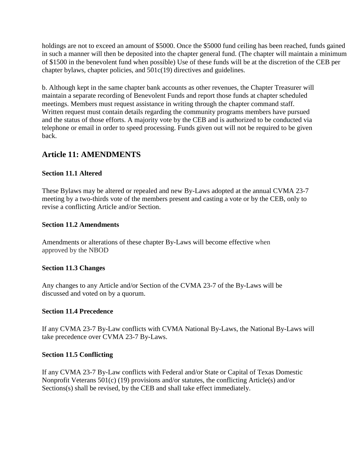holdings are not to exceed an amount of \$5000. Once the \$5000 fund ceiling has been reached, funds gained in such a manner will then be deposited into the chapter general fund. (The chapter will maintain a minimum of \$1500 in the benevolent fund when possible) Use of these funds will be at the discretion of the CEB per chapter bylaws, chapter policies, and 501c(19) directives and guidelines.

b. Although kept in the same chapter bank accounts as other revenues, the Chapter Treasurer will maintain a separate recording of Benevolent Funds and report those funds at chapter scheduled meetings. Members must request assistance in writing through the chapter command staff. Written request must contain details regarding the community programs members have pursued and the status of those efforts. A majority vote by the CEB and is authorized to be conducted via telephone or email in order to speed processing. Funds given out will not be required to be given back.

# **Article 11: AMENDMENTS**

# **Section 11.1 Altered**

These Bylaws may be altered or repealed and new By-Laws adopted at the annual CVMA 23-7 meeting by a two-thirds vote of the members present and casting a vote or by the CEB, only to revise a conflicting Article and/or Section.

### **Section 11.2 Amendments**

Amendments or alterations of these chapter By-Laws will become effective when approved by the NBOD

# **Section 11.3 Changes**

Any changes to any Article and/or Section of the CVMA 23-7 of the By-Laws will be discussed and voted on by a quorum.

# **Section 11.4 Precedence**

If any CVMA 23-7 By-Law conflicts with CVMA National By-Laws, the National By-Laws will take precedence over CVMA 23-7 By-Laws.

# **Section 11.5 Conflicting**

If any CVMA 23-7 By-Law conflicts with Federal and/or State or Capital of Texas Domestic Nonprofit Veterans 501(c) (19) provisions and/or statutes, the conflicting Article(s) and/or Sections(s) shall be revised, by the CEB and shall take effect immediately.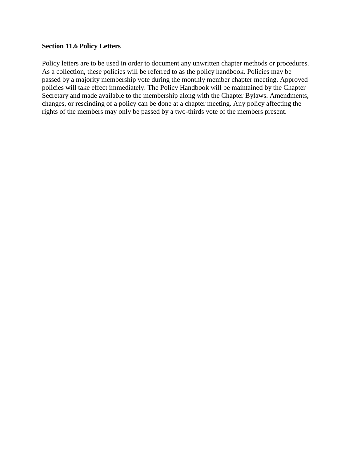#### **Section 11.6 Policy Letters**

Policy letters are to be used in order to document any unwritten chapter methods or procedures. As a collection, these policies will be referred to as the policy handbook. Policies may be passed by a majority membership vote during the monthly member chapter meeting. Approved policies will take effect immediately. The Policy Handbook will be maintained by the Chapter Secretary and made available to the membership along with the Chapter Bylaws. Amendments, changes, or rescinding of a policy can be done at a chapter meeting. Any policy affecting the rights of the members may only be passed by a two-thirds vote of the members present.